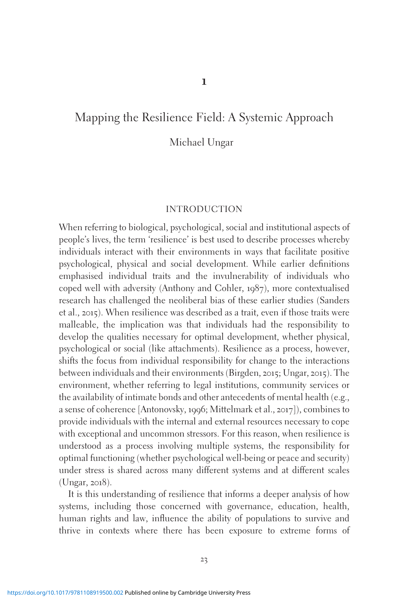# Mapping the Resilience Field: A Systemic Approach

Michael Ungar

### INTRODUCTION

When referring to biological, psychological, social and institutional aspects of people's lives, the term 'resilience' is best used to describe processes whereby individuals interact with their environments in ways that facilitate positive psychological, physical and social development. While earlier definitions emphasised individual traits and the invulnerability of individuals who coped well with adversity (Anthony and Cohler, 1987), more contextualised research has challenged the neoliberal bias of these earlier studies (Sanders et al., 2015). When resilience was described as a trait, even if those traits were malleable, the implication was that individuals had the responsibility to develop the qualities necessary for optimal development, whether physical, psychological or social (like attachments). Resilience as a process, however, shifts the focus from individual responsibility for change to the interactions between individuals and their environments (Birgden, 2015; Ungar, 2015). The environment, whether referring to legal institutions, community services or the availability of intimate bonds and other antecedents of mental health (e.g., a sense of coherence [Antonovsky, 1996; Mittelmark et al., 2017]), combines to provide individuals with the internal and external resources necessary to cope with exceptional and uncommon stressors. For this reason, when resilience is understood as a process involving multiple systems, the responsibility for optimal functioning (whether psychological well-being or peace and security) under stress is shared across many different systems and at different scales (Ungar, 2018).

It is this understanding of resilience that informs a deeper analysis of how systems, including those concerned with governance, education, health, human rights and law, influence the ability of populations to survive and thrive in contexts where there has been exposure to extreme forms of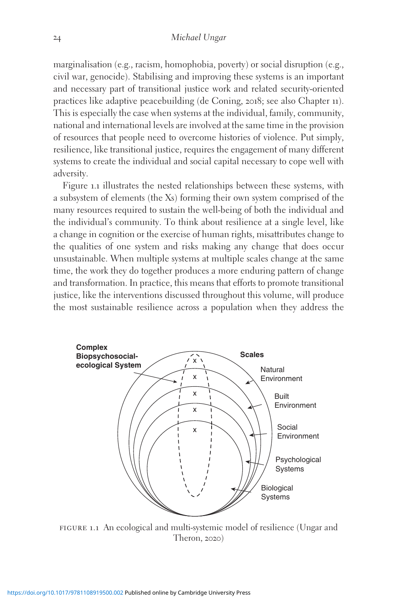marginalisation (e.g., racism, homophobia, poverty) or social disruption (e.g., civil war, genocide). Stabilising and improving these systems is an important and necessary part of transitional justice work and related security-oriented practices like adaptive peacebuilding (de Coning, 2018; see also Chapter 11). This is especially the case when systems at the individual, family, community, national and international levels are involved at the same time in the provision of resources that people need to overcome histories of violence. Put simply, resilience, like transitional justice, requires the engagement of many different systems to create the individual and social capital necessary to cope well with adversity.

Figure 1.1 illustrates the nested relationships between these systems, with a subsystem of elements (the Xs) forming their own system comprised of the many resources required to sustain the well-being of both the individual and the individual's community. To think about resilience at a single level, like a change in cognition or the exercise of human rights, misattributes change to the qualities of one system and risks making any change that does occur unsustainable. When multiple systems at multiple scales change at the same time, the work they do together produces a more enduring pattern of change and transformation. In practice, this means that efforts to promote transitional justice, like the interventions discussed throughout this volume, will produce the most sustainable resilience across a population when they address the



FIGURE 1.1 An ecological and multi-systemic model of resilience (Ungar and Theron, 2020)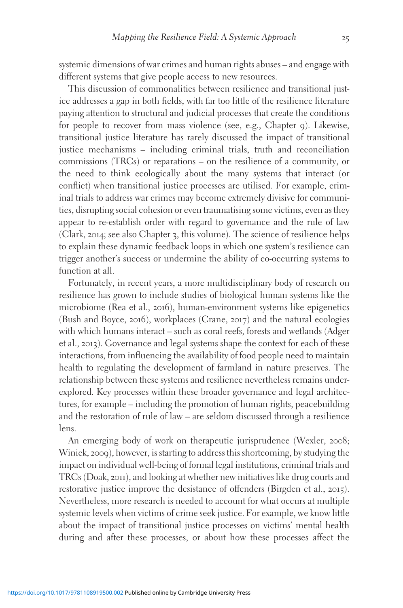systemic dimensions of war crimes and human rights abuses – and engage with different systems that give people access to new resources.

This discussion of commonalities between resilience and transitional justice addresses a gap in both fields, with far too little of the resilience literature paying attention to structural and judicial processes that create the conditions for people to recover from mass violence (see, e.g., Chapter 9). Likewise, transitional justice literature has rarely discussed the impact of transitional justice mechanisms – including criminal trials, truth and reconciliation commissions (TRCs) or reparations – on the resilience of a community, or the need to think ecologically about the many systems that interact (or conflict) when transitional justice processes are utilised. For example, criminal trials to address war crimes may become extremely divisive for communities, disrupting social cohesion or even traumatising some victims, even as they appear to re-establish order with regard to governance and the rule of law (Clark, 2014; see also Chapter 3, this volume). The science of resilience helps to explain these dynamic feedback loops in which one system's resilience can trigger another's success or undermine the ability of co-occurring systems to function at all.

Fortunately, in recent years, a more multidisciplinary body of research on resilience has grown to include studies of biological human systems like the microbiome (Rea et al., 2016), human-environment systems like epigenetics (Bush and Boyce, 2016), workplaces (Crane, 2017) and the natural ecologies with which humans interact – such as coral reefs, forests and wetlands (Adger et al., 2013). Governance and legal systems shape the context for each of these interactions, from influencing the availability of food people need to maintain health to regulating the development of farmland in nature preserves. The relationship between these systems and resilience nevertheless remains underexplored. Key processes within these broader governance and legal architectures, for example – including the promotion of human rights, peacebuilding and the restoration of rule of law – are seldom discussed through a resilience lens.

An emerging body of work on therapeutic jurisprudence (Wexler, 2008; Winick, 2009), however, is starting to address this shortcoming, by studying the impact on individual well-being of formal legal institutions, criminal trials and TRCs (Doak, 2011), and looking at whether new initiatives like drug courts and restorative justice improve the desistance of offenders (Birgden et al., 2015). Nevertheless, more research is needed to account for what occurs at multiple systemic levels when victims of crime seek justice. For example, we know little about the impact of transitional justice processes on victims' mental health during and after these processes, or about how these processes affect the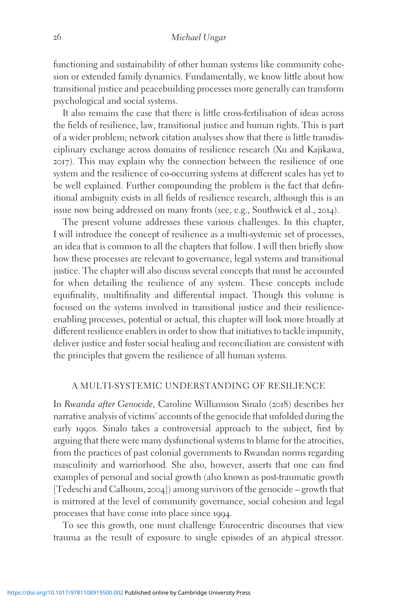functioning and sustainability of other human systems like community cohesion or extended family dynamics. Fundamentally, we know little about how transitional justice and peacebuilding processes more generally can transform psychological and social systems.

It also remains the case that there is little cross-fertilisation of ideas across the fields of resilience, law, transitional justice and human rights. This is part of a wider problem; network citation analyses show that there is little transdisciplinary exchange across domains of resilience research (Xu and Kajikawa, 2017). This may explain why the connection between the resilience of one system and the resilience of co-occurring systems at different scales has yet to be well explained. Further compounding the problem is the fact that definitional ambiguity exists in all fields of resilience research, although this is an issue now being addressed on many fronts (see, e.g., Southwick et al., 2014).

The present volume addresses these various challenges. In this chapter, I will introduce the concept of resilience as a multi-systemic set of processes, an idea that is common to all the chapters that follow. I will then briefly show how these processes are relevant to governance, legal systems and transitional justice. The chapter will also discuss several concepts that must be accounted for when detailing the resilience of any system. These concepts include equifinality, multifinality and differential impact. Though this volume is focused on the systems involved in transitional justice and their resilienceenabling processes, potential or actual, this chapter will look more broadly at different resilience enablers in order to show that initiatives to tackle impunity, deliver justice and foster social healing and reconciliation are consistent with the principles that govern the resilience of all human systems.

#### A MULTI-SYSTEMIC UNDERSTANDING OF RESILIENCE

In Rwanda after Genocide, Caroline Williamson Sinalo (2018) describes her narrative analysis of victims' accounts of the genocide that unfolded during the early 1990s. Sinalo takes a controversial approach to the subject, first by arguing that there were many dysfunctional systems to blame for the atrocities, from the practices of past colonial governments to Rwandan norms regarding masculinity and warriorhood. She also, however, asserts that one can find examples of personal and social growth (also known as post-traumatic growth [Tedeschi and Calhoun, 2004]) among survivors of the genocide – growth that is mirrored at the level of community governance, social cohesion and legal processes that have come into place since 1994.

To see this growth, one must challenge Eurocentric discourses that view trauma as the result of exposure to single episodes of an atypical stressor.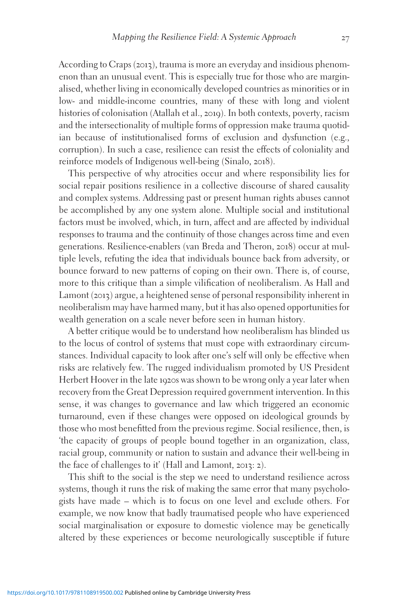According to Craps (2013), trauma is more an everyday and insidious phenomenon than an unusual event. This is especially true for those who are marginalised, whether living in economically developed countries as minorities or in low- and middle-income countries, many of these with long and violent histories of colonisation (Atallah et al., 2019). In both contexts, poverty, racism and the intersectionality of multiple forms of oppression make trauma quotidian because of institutionalised forms of exclusion and dysfunction (e.g., corruption). In such a case, resilience can resist the effects of coloniality and reinforce models of Indigenous well-being (Sinalo, 2018).

This perspective of why atrocities occur and where responsibility lies for social repair positions resilience in a collective discourse of shared causality and complex systems. Addressing past or present human rights abuses cannot be accomplished by any one system alone. Multiple social and institutional factors must be involved, which, in turn, affect and are affected by individual responses to trauma and the continuity of those changes across time and even generations. Resilience-enablers (van Breda and Theron, 2018) occur at multiple levels, refuting the idea that individuals bounce back from adversity, or bounce forward to new patterns of coping on their own. There is, of course, more to this critique than a simple vilification of neoliberalism. As Hall and Lamont (2013) argue, a heightened sense of personal responsibility inherent in neoliberalism may have harmed many, but it has also opened opportunities for wealth generation on a scale never before seen in human history.

A better critique would be to understand how neoliberalism has blinded us to the locus of control of systems that must cope with extraordinary circumstances. Individual capacity to look after one's self will only be effective when risks are relatively few. The rugged individualism promoted by US President Herbert Hoover in the late 1920s was shown to be wrong only a year later when recovery from the Great Depression required government intervention. In this sense, it was changes to governance and law which triggered an economic turnaround, even if these changes were opposed on ideological grounds by those who most benefitted from the previous regime. Social resilience, then, is 'the capacity of groups of people bound together in an organization, class, racial group, community or nation to sustain and advance their well-being in the face of challenges to it' (Hall and Lamont, 2013: 2).

This shift to the social is the step we need to understand resilience across systems, though it runs the risk of making the same error that many psychologists have made – which is to focus on one level and exclude others. For example, we now know that badly traumatised people who have experienced social marginalisation or exposure to domestic violence may be genetically altered by these experiences or become neurologically susceptible if future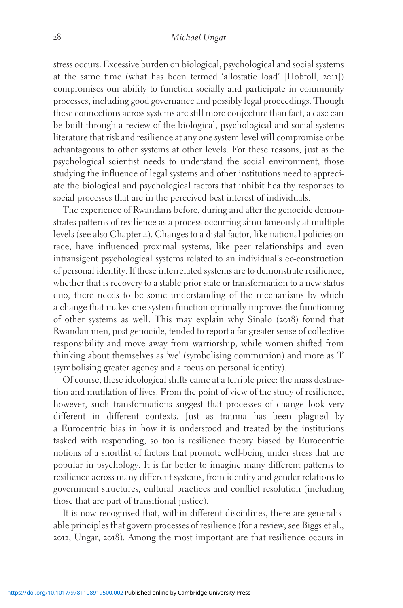stress occurs. Excessive burden on biological, psychological and social systems at the same time (what has been termed 'allostatic load' [Hobfoll, 2011]) compromises our ability to function socially and participate in community processes, including good governance and possibly legal proceedings. Though these connections across systems are still more conjecture than fact, a case can be built through a review of the biological, psychological and social systems literature that risk and resilience at any one system level will compromise or be advantageous to other systems at other levels. For these reasons, just as the psychological scientist needs to understand the social environment, those studying the influence of legal systems and other institutions need to appreciate the biological and psychological factors that inhibit healthy responses to social processes that are in the perceived best interest of individuals.

The experience of Rwandans before, during and after the genocide demonstrates patterns of resilience as a process occurring simultaneously at multiple levels (see also Chapter 4). Changes to a distal factor, like national policies on race, have influenced proximal systems, like peer relationships and even intransigent psychological systems related to an individual's co-construction of personal identity. If these interrelated systems are to demonstrate resilience, whether that is recovery to a stable prior state or transformation to a new status quo, there needs to be some understanding of the mechanisms by which a change that makes one system function optimally improves the functioning of other systems as well. This may explain why Sinalo (2018) found that Rwandan men, post-genocide, tended to report a far greater sense of collective responsibility and move away from warriorship, while women shifted from thinking about themselves as 'we' (symbolising communion) and more as 'I' (symbolising greater agency and a focus on personal identity).

Of course, these ideological shifts came at a terrible price: the mass destruction and mutilation of lives. From the point of view of the study of resilience, however, such transformations suggest that processes of change look very different in different contexts. Just as trauma has been plagued by a Eurocentric bias in how it is understood and treated by the institutions tasked with responding, so too is resilience theory biased by Eurocentric notions of a shortlist of factors that promote well-being under stress that are popular in psychology. It is far better to imagine many different patterns to resilience across many different systems, from identity and gender relations to government structures, cultural practices and conflict resolution (including those that are part of transitional justice).

It is now recognised that, within different disciplines, there are generalisable principles that govern processes of resilience (for a review, see Biggs et al., 2012; Ungar, 2018). Among the most important are that resilience occurs in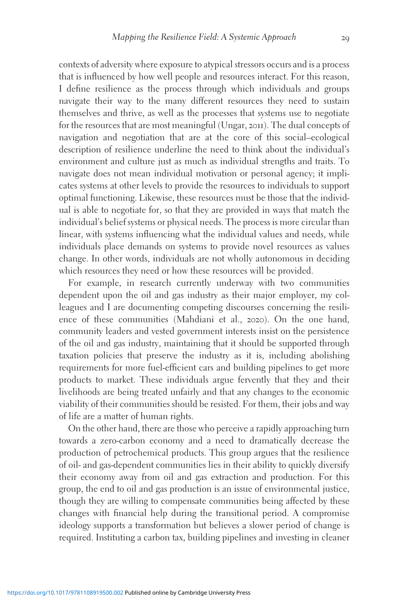contexts of adversity where exposure to atypical stressors occurs and is a process that is influenced by how well people and resources interact. For this reason, I define resilience as the process through which individuals and groups navigate their way to the many different resources they need to sustain themselves and thrive, as well as the processes that systems use to negotiate for the resources that are most meaningful (Ungar, 2011). The dual concepts of navigation and negotiation that are at the core of this social–ecological description of resilience underline the need to think about the individual's environment and culture just as much as individual strengths and traits. To navigate does not mean individual motivation or personal agency; it implicates systems at other levels to provide the resources to individuals to support optimal functioning. Likewise, these resources must be those that the individual is able to negotiate for, so that they are provided in ways that match the individual's belief systems or physical needs. The process is more circular than linear, with systems influencing what the individual values and needs, while individuals place demands on systems to provide novel resources as values change. In other words, individuals are not wholly autonomous in deciding which resources they need or how these resources will be provided.

For example, in research currently underway with two communities dependent upon the oil and gas industry as their major employer, my colleagues and I are documenting competing discourses concerning the resilience of these communities (Mahdiani et al., 2020). On the one hand, community leaders and vested government interests insist on the persistence of the oil and gas industry, maintaining that it should be supported through taxation policies that preserve the industry as it is, including abolishing requirements for more fuel-efficient cars and building pipelines to get more products to market. These individuals argue fervently that they and their livelihoods are being treated unfairly and that any changes to the economic viability of their communities should be resisted. For them, their jobs and way of life are a matter of human rights.

On the other hand, there are those who perceive a rapidly approaching turn towards a zero-carbon economy and a need to dramatically decrease the production of petrochemical products. This group argues that the resilience of oil- and gas-dependent communities lies in their ability to quickly diversify their economy away from oil and gas extraction and production. For this group, the end to oil and gas production is an issue of environmental justice, though they are willing to compensate communities being affected by these changes with financial help during the transitional period. A compromise ideology supports a transformation but believes a slower period of change is required. Instituting a carbon tax, building pipelines and investing in cleaner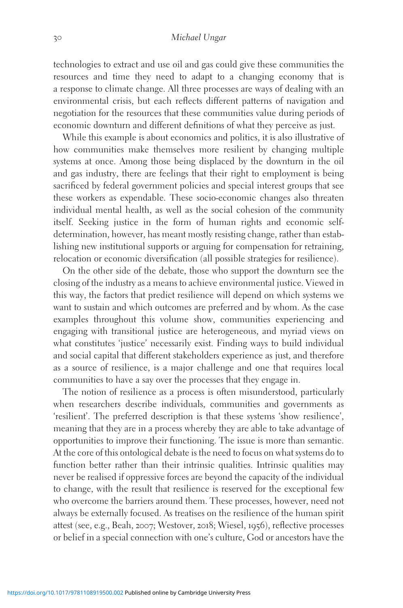technologies to extract and use oil and gas could give these communities the resources and time they need to adapt to a changing economy that is a response to climate change. All three processes are ways of dealing with an environmental crisis, but each reflects different patterns of navigation and negotiation for the resources that these communities value during periods of economic downturn and different definitions of what they perceive as just.

While this example is about economics and politics, it is also illustrative of how communities make themselves more resilient by changing multiple systems at once. Among those being displaced by the downturn in the oil and gas industry, there are feelings that their right to employment is being sacrificed by federal government policies and special interest groups that see these workers as expendable. These socio-economic changes also threaten individual mental health, as well as the social cohesion of the community itself. Seeking justice in the form of human rights and economic selfdetermination, however, has meant mostly resisting change, rather than establishing new institutional supports or arguing for compensation for retraining, relocation or economic diversification (all possible strategies for resilience).

On the other side of the debate, those who support the downturn see the closing of the industry as a means to achieve environmental justice. Viewed in this way, the factors that predict resilience will depend on which systems we want to sustain and which outcomes are preferred and by whom. As the case examples throughout this volume show, communities experiencing and engaging with transitional justice are heterogeneous, and myriad views on what constitutes 'justice' necessarily exist. Finding ways to build individual and social capital that different stakeholders experience as just, and therefore as a source of resilience, is a major challenge and one that requires local communities to have a say over the processes that they engage in.

The notion of resilience as a process is often misunderstood, particularly when researchers describe individuals, communities and governments as 'resilient'. The preferred description is that these systems 'show resilience', meaning that they are in a process whereby they are able to take advantage of opportunities to improve their functioning. The issue is more than semantic. At the core of this ontological debate is the need to focus on what systems do to function better rather than their intrinsic qualities. Intrinsic qualities may never be realised if oppressive forces are beyond the capacity of the individual to change, with the result that resilience is reserved for the exceptional few who overcome the barriers around them. These processes, however, need not always be externally focused. As treatises on the resilience of the human spirit attest (see, e.g., Beah, 2007; Westover, 2018; Wiesel, 1956), reflective processes or belief in a special connection with one's culture, God or ancestors have the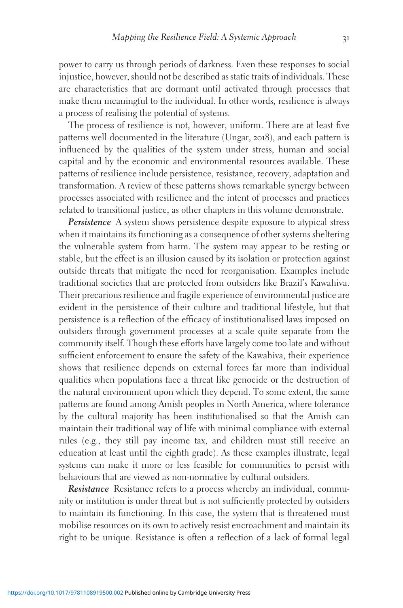power to carry us through periods of darkness. Even these responses to social injustice, however, should not be described as static traits of individuals. These are characteristics that are dormant until activated through processes that make them meaningful to the individual. In other words, resilience is always a process of realising the potential of systems.

The process of resilience is not, however, uniform. There are at least five patterns well documented in the literature (Ungar, 2018), and each pattern is influenced by the qualities of the system under stress, human and social capital and by the economic and environmental resources available. These patterns of resilience include persistence, resistance, recovery, adaptation and transformation. A review of these patterns shows remarkable synergy between processes associated with resilience and the intent of processes and practices related to transitional justice, as other chapters in this volume demonstrate.

**Persistence** A system shows persistence despite exposure to atypical stress when it maintains its functioning as a consequence of other systems sheltering the vulnerable system from harm. The system may appear to be resting or stable, but the effect is an illusion caused by its isolation or protection against outside threats that mitigate the need for reorganisation. Examples include traditional societies that are protected from outsiders like Brazil's Kawahiva. Their precarious resilience and fragile experience of environmental justice are evident in the persistence of their culture and traditional lifestyle, but that persistence is a reflection of the efficacy of institutionalised laws imposed on outsiders through government processes at a scale quite separate from the community itself. Though these efforts have largely come too late and without sufficient enforcement to ensure the safety of the Kawahiva, their experience shows that resilience depends on external forces far more than individual qualities when populations face a threat like genocide or the destruction of the natural environment upon which they depend. To some extent, the same patterns are found among Amish peoples in North America, where tolerance by the cultural majority has been institutionalised so that the Amish can maintain their traditional way of life with minimal compliance with external rules (e.g., they still pay income tax, and children must still receive an education at least until the eighth grade). As these examples illustrate, legal systems can make it more or less feasible for communities to persist with behaviours that are viewed as non-normative by cultural outsiders.

Resistance Resistance refers to a process whereby an individual, community or institution is under threat but is not sufficiently protected by outsiders to maintain its functioning. In this case, the system that is threatened must mobilise resources on its own to actively resist encroachment and maintain its right to be unique. Resistance is often a reflection of a lack of formal legal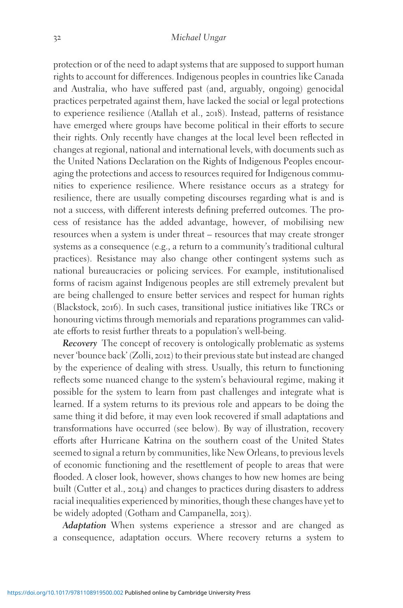protection or of the need to adapt systems that are supposed to support human rights to account for differences. Indigenous peoples in countries like Canada and Australia, who have suffered past (and, arguably, ongoing) genocidal practices perpetrated against them, have lacked the social or legal protections to experience resilience (Atallah et al., 2018). Instead, patterns of resistance have emerged where groups have become political in their efforts to secure their rights. Only recently have changes at the local level been reflected in changes at regional, national and international levels, with documents such as the United Nations Declaration on the Rights of Indigenous Peoples encouraging the protections and access to resources required for Indigenous communities to experience resilience. Where resistance occurs as a strategy for resilience, there are usually competing discourses regarding what is and is not a success, with different interests defining preferred outcomes. The process of resistance has the added advantage, however, of mobilising new resources when a system is under threat – resources that may create stronger systems as a consequence (e.g., a return to a community's traditional cultural practices). Resistance may also change other contingent systems such as national bureaucracies or policing services. For example, institutionalised forms of racism against Indigenous peoples are still extremely prevalent but are being challenged to ensure better services and respect for human rights (Blackstock, 2016). In such cases, transitional justice initiatives like TRCs or honouring victims through memorials and reparations programmes can validate efforts to resist further threats to a population's well-being.

Recovery The concept of recovery is ontologically problematic as systems never 'bounce back' (Zolli, 2012) to their previous state but instead are changed by the experience of dealing with stress. Usually, this return to functioning reflects some nuanced change to the system's behavioural regime, making it possible for the system to learn from past challenges and integrate what is learned. If a system returns to its previous role and appears to be doing the same thing it did before, it may even look recovered if small adaptations and transformations have occurred (see below). By way of illustration, recovery efforts after Hurricane Katrina on the southern coast of the United States seemed to signal a return by communities, like New Orleans, to previous levels of economic functioning and the resettlement of people to areas that were flooded. A closer look, however, shows changes to how new homes are being built (Cutter et al., 2014) and changes to practices during disasters to address racial inequalities experienced by minorities, though these changes have yet to be widely adopted (Gotham and Campanella, 2013).

Adaptation When systems experience a stressor and are changed as a consequence, adaptation occurs. Where recovery returns a system to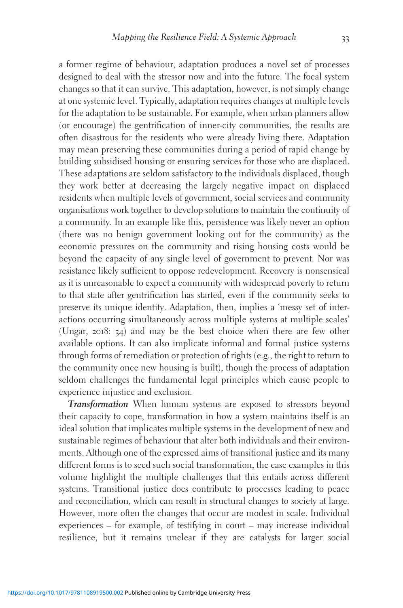a former regime of behaviour, adaptation produces a novel set of processes designed to deal with the stressor now and into the future. The focal system changes so that it can survive. This adaptation, however, is not simply change at one systemic level. Typically, adaptation requires changes at multiple levels for the adaptation to be sustainable. For example, when urban planners allow (or encourage) the gentrification of inner-city communities, the results are often disastrous for the residents who were already living there. Adaptation may mean preserving these communities during a period of rapid change by building subsidised housing or ensuring services for those who are displaced. These adaptations are seldom satisfactory to the individuals displaced, though they work better at decreasing the largely negative impact on displaced residents when multiple levels of government, social services and community organisations work together to develop solutions to maintain the continuity of a community. In an example like this, persistence was likely never an option (there was no benign government looking out for the community) as the economic pressures on the community and rising housing costs would be beyond the capacity of any single level of government to prevent. Nor was resistance likely sufficient to oppose redevelopment. Recovery is nonsensical as it is unreasonable to expect a community with widespread poverty to return to that state after gentrification has started, even if the community seeks to preserve its unique identity. Adaptation, then, implies a 'messy set of interactions occurring simultaneously across multiple systems at multiple scales' (Ungar, 2018: 34) and may be the best choice when there are few other available options. It can also implicate informal and formal justice systems through forms of remediation or protection of rights (e.g., the right to return to the community once new housing is built), though the process of adaptation seldom challenges the fundamental legal principles which cause people to experience injustice and exclusion.

Transformation When human systems are exposed to stressors beyond their capacity to cope, transformation in how a system maintains itself is an ideal solution that implicates multiple systems in the development of new and sustainable regimes of behaviour that alter both individuals and their environments. Although one of the expressed aims of transitional justice and its many different forms is to seed such social transformation, the case examples in this volume highlight the multiple challenges that this entails across different systems. Transitional justice does contribute to processes leading to peace and reconciliation, which can result in structural changes to society at large. However, more often the changes that occur are modest in scale. Individual experiences – for example, of testifying in court – may increase individual resilience, but it remains unclear if they are catalysts for larger social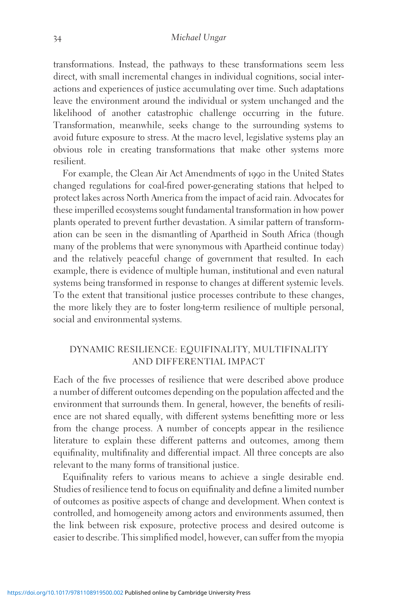transformations. Instead, the pathways to these transformations seem less direct, with small incremental changes in individual cognitions, social interactions and experiences of justice accumulating over time. Such adaptations leave the environment around the individual or system unchanged and the likelihood of another catastrophic challenge occurring in the future. Transformation, meanwhile, seeks change to the surrounding systems to avoid future exposure to stress. At the macro level, legislative systems play an obvious role in creating transformations that make other systems more resilient.

For example, the Clean Air Act Amendments of 1990 in the United States changed regulations for coal-fired power-generating stations that helped to protect lakes across North America from the impact of acid rain. Advocates for these imperilled ecosystems sought fundamental transformation in how power plants operated to prevent further devastation. A similar pattern of transformation can be seen in the dismantling of Apartheid in South Africa (though many of the problems that were synonymous with Apartheid continue today) and the relatively peaceful change of government that resulted. In each example, there is evidence of multiple human, institutional and even natural systems being transformed in response to changes at different systemic levels. To the extent that transitional justice processes contribute to these changes, the more likely they are to foster long-term resilience of multiple personal, social and environmental systems.

## DYNAMIC RESILIENCE: EQUIFINALITY, MULTIFINALITY AND DIFFERENTIAL IMPACT

Each of the five processes of resilience that were described above produce a number of different outcomes depending on the population affected and the environment that surrounds them. In general, however, the benefits of resilience are not shared equally, with different systems benefitting more or less from the change process. A number of concepts appear in the resilience literature to explain these different patterns and outcomes, among them equifinality, multifinality and differential impact. All three concepts are also relevant to the many forms of transitional justice.

Equifinality refers to various means to achieve a single desirable end. Studies of resilience tend to focus on equifinality and define a limited number of outcomes as positive aspects of change and development. When context is controlled, and homogeneity among actors and environments assumed, then the link between risk exposure, protective process and desired outcome is easier to describe. This simplified model, however, can suffer from the myopia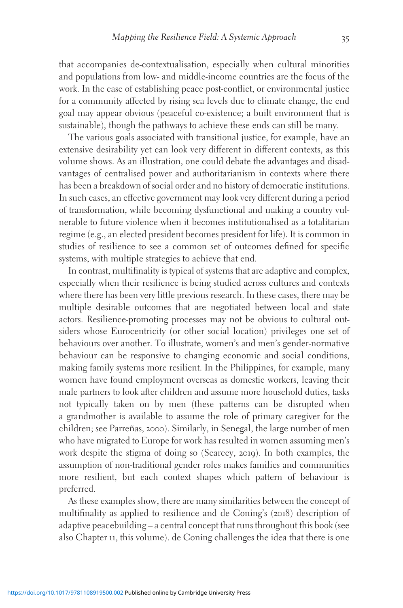that accompanies de-contextualisation, especially when cultural minorities and populations from low- and middle-income countries are the focus of the work. In the case of establishing peace post-conflict, or environmental justice for a community affected by rising sea levels due to climate change, the end goal may appear obvious (peaceful co-existence; a built environment that is sustainable), though the pathways to achieve these ends can still be many.

The various goals associated with transitional justice, for example, have an extensive desirability yet can look very different in different contexts, as this volume shows. As an illustration, one could debate the advantages and disadvantages of centralised power and authoritarianism in contexts where there has been a breakdown of social order and no history of democratic institutions. In such cases, an effective government may look very different during a period of transformation, while becoming dysfunctional and making a country vulnerable to future violence when it becomes institutionalised as a totalitarian regime (e.g., an elected president becomes president for life). It is common in studies of resilience to see a common set of outcomes defined for specific systems, with multiple strategies to achieve that end.

In contrast, multifinality is typical of systems that are adaptive and complex, especially when their resilience is being studied across cultures and contexts where there has been very little previous research. In these cases, there may be multiple desirable outcomes that are negotiated between local and state actors. Resilience-promoting processes may not be obvious to cultural outsiders whose Eurocentricity (or other social location) privileges one set of behaviours over another. To illustrate, women's and men's gender-normative behaviour can be responsive to changing economic and social conditions, making family systems more resilient. In the Philippines, for example, many women have found employment overseas as domestic workers, leaving their male partners to look after children and assume more household duties, tasks not typically taken on by men (these patterns can be disrupted when a grandmother is available to assume the role of primary caregiver for the children; see Parreñas, 2000). Similarly, in Senegal, the large number of men who have migrated to Europe for work has resulted in women assuming men's work despite the stigma of doing so (Searcey, 2019). In both examples, the assumption of non-traditional gender roles makes families and communities more resilient, but each context shapes which pattern of behaviour is preferred.

As these examples show, there are many similarities between the concept of multifinality as applied to resilience and de Coning's (2018) description of adaptive peacebuilding – a central concept that runs throughout this book (see also Chapter 11, this volume). de Coning challenges the idea that there is one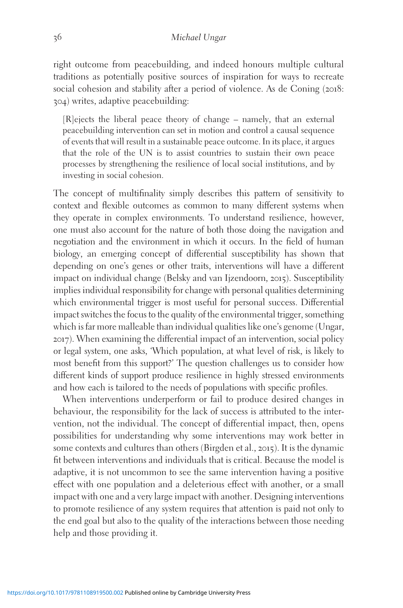right outcome from peacebuilding, and indeed honours multiple cultural traditions as potentially positive sources of inspiration for ways to recreate social cohesion and stability after a period of violence. As de Coning (2018: 304) writes, adaptive peacebuilding:

[R]ejects the liberal peace theory of change – namely, that an external peacebuilding intervention can set in motion and control a causal sequence of events that will result in a sustainable peace outcome. In its place, it argues that the role of the UN is to assist countries to sustain their own peace processes by strengthening the resilience of local social institutions, and by investing in social cohesion.

The concept of multifinality simply describes this pattern of sensitivity to context and flexible outcomes as common to many different systems when they operate in complex environments. To understand resilience, however, one must also account for the nature of both those doing the navigation and negotiation and the environment in which it occurs. In the field of human biology, an emerging concept of differential susceptibility has shown that depending on one's genes or other traits, interventions will have a different impact on individual change (Belsky and van Ijzendoorn, 2015). Susceptibility implies individual responsibility for change with personal qualities determining which environmental trigger is most useful for personal success. Differential impact switches the focus to the quality of the environmental trigger, something which is far more malleable than individual qualities like one's genome (Ungar, 2017). When examining the differential impact of an intervention, social policy or legal system, one asks, 'Which population, at what level of risk, is likely to most benefit from this support?' The question challenges us to consider how different kinds of support produce resilience in highly stressed environments and how each is tailored to the needs of populations with specific profiles.

When interventions underperform or fail to produce desired changes in behaviour, the responsibility for the lack of success is attributed to the intervention, not the individual. The concept of differential impact, then, opens possibilities for understanding why some interventions may work better in some contexts and cultures than others (Birgden et al., 2015). It is the dynamic fit between interventions and individuals that is critical. Because the model is adaptive, it is not uncommon to see the same intervention having a positive effect with one population and a deleterious effect with another, or a small impact with one and a very large impact with another. Designing interventions to promote resilience of any system requires that attention is paid not only to the end goal but also to the quality of the interactions between those needing help and those providing it.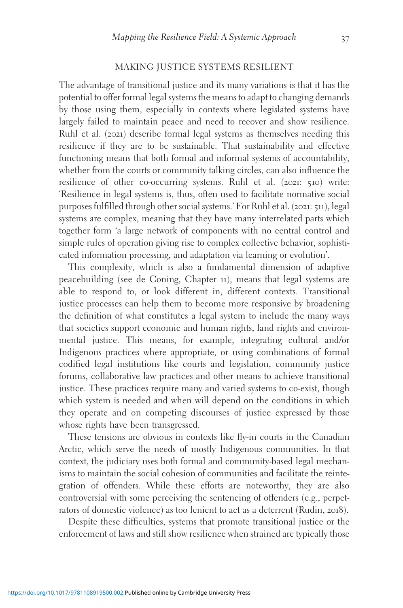#### MAKING JUSTICE SYSTEMS RESILIENT

The advantage of transitional justice and its many variations is that it has the potential to offer formal legal systems the means to adapt to changing demands by those using them, especially in contexts where legislated systems have largely failed to maintain peace and need to recover and show resilience. Ruhl et al. (2021) describe formal legal systems as themselves needing this resilience if they are to be sustainable. That sustainability and effective functioning means that both formal and informal systems of accountability, whether from the courts or community talking circles, can also influence the resilience of other co-occurring systems. Ruhl et al. (2021: 510) write: 'Resilience in legal systems is, thus, often used to facilitate normative social purposes fulfilled through other social systems.' For Ruhl et al. (2021: 511), legal systems are complex, meaning that they have many interrelated parts which together form 'a large network of components with no central control and simple rules of operation giving rise to complex collective behavior, sophisticated information processing, and adaptation via learning or evolution'.

This complexity, which is also a fundamental dimension of adaptive peacebuilding (see de Coning, Chapter 11), means that legal systems are able to respond to, or look different in, different contexts. Transitional justice processes can help them to become more responsive by broadening the definition of what constitutes a legal system to include the many ways that societies support economic and human rights, land rights and environmental justice. This means, for example, integrating cultural and/or Indigenous practices where appropriate, or using combinations of formal codified legal institutions like courts and legislation, community justice forums, collaborative law practices and other means to achieve transitional justice. These practices require many and varied systems to co-exist, though which system is needed and when will depend on the conditions in which they operate and on competing discourses of justice expressed by those whose rights have been transgressed.

These tensions are obvious in contexts like fly-in courts in the Canadian Arctic, which serve the needs of mostly Indigenous communities. In that context, the judiciary uses both formal and community-based legal mechanisms to maintain the social cohesion of communities and facilitate the reintegration of offenders. While these efforts are noteworthy, they are also controversial with some perceiving the sentencing of offenders (e.g., perpetrators of domestic violence) as too lenient to act as a deterrent (Rudin, 2018).

Despite these difficulties, systems that promote transitional justice or the enforcement of laws and still show resilience when strained are typically those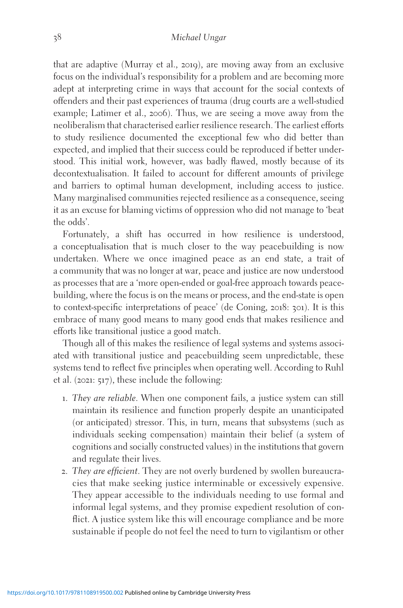that are adaptive (Murray et al., 2019), are moving away from an exclusive focus on the individual's responsibility for a problem and are becoming more adept at interpreting crime in ways that account for the social contexts of offenders and their past experiences of trauma (drug courts are a well-studied example; Latimer et al., 2006). Thus, we are seeing a move away from the neoliberalism that characterised earlier resilience research. The earliest efforts to study resilience documented the exceptional few who did better than expected, and implied that their success could be reproduced if better understood. This initial work, however, was badly flawed, mostly because of its decontextualisation. It failed to account for different amounts of privilege and barriers to optimal human development, including access to justice. Many marginalised communities rejected resilience as a consequence, seeing it as an excuse for blaming victims of oppression who did not manage to 'beat the odds'.

Fortunately, a shift has occurred in how resilience is understood, a conceptualisation that is much closer to the way peacebuilding is now undertaken. Where we once imagined peace as an end state, a trait of a community that was no longer at war, peace and justice are now understood as processes that are a 'more open-ended or goal-free approach towards peacebuilding, where the focus is on the means or process, and the end-state is open to context-specific interpretations of peace' (de Coning, 2018: 301). It is this embrace of many good means to many good ends that makes resilience and efforts like transitional justice a good match.

Though all of this makes the resilience of legal systems and systems associated with transitional justice and peacebuilding seem unpredictable, these systems tend to reflect five principles when operating well. According to Ruhl et al. (2021: 517), these include the following:

- 1. They are reliable. When one component fails, a justice system can still maintain its resilience and function properly despite an unanticipated (or anticipated) stressor. This, in turn, means that subsystems (such as individuals seeking compensation) maintain their belief (a system of cognitions and socially constructed values) in the institutions that govern and regulate their lives.
- 2. They are efficient. They are not overly burdened by swollen bureaucracies that make seeking justice interminable or excessively expensive. They appear accessible to the individuals needing to use formal and informal legal systems, and they promise expedient resolution of conflict. A justice system like this will encourage compliance and be more sustainable if people do not feel the need to turn to vigilantism or other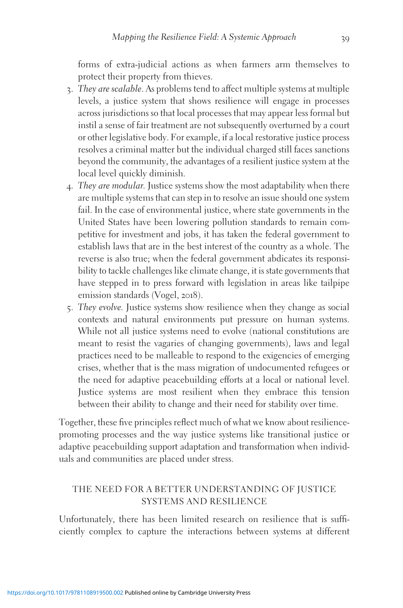forms of extra-judicial actions as when farmers arm themselves to protect their property from thieves.

- 3. They are scalable. As problems tend to affect multiple systems at multiple levels, a justice system that shows resilience will engage in processes across jurisdictions so that local processes that may appear less formal but instil a sense of fair treatment are not subsequently overturned by a court or other legislative body. For example, if a local restorative justice process resolves a criminal matter but the individual charged still faces sanctions beyond the community, the advantages of a resilient justice system at the local level quickly diminish.
- 4. They are modular. Justice systems show the most adaptability when there are multiple systems that can step in to resolve an issue should one system fail. In the case of environmental justice, where state governments in the United States have been lowering pollution standards to remain competitive for investment and jobs, it has taken the federal government to establish laws that are in the best interest of the country as a whole. The reverse is also true; when the federal government abdicates its responsibility to tackle challenges like climate change, it is state governments that have stepped in to press forward with legislation in areas like tailpipe emission standards (Vogel, 2018).
- 5. They evolve. Justice systems show resilience when they change as social contexts and natural environments put pressure on human systems. While not all justice systems need to evolve (national constitutions are meant to resist the vagaries of changing governments), laws and legal practices need to be malleable to respond to the exigencies of emerging crises, whether that is the mass migration of undocumented refugees or the need for adaptive peacebuilding efforts at a local or national level. Justice systems are most resilient when they embrace this tension between their ability to change and their need for stability over time.

Together, these five principles reflect much of what we know about resiliencepromoting processes and the way justice systems like transitional justice or adaptive peacebuilding support adaptation and transformation when individuals and communities are placed under stress.

## THE NEED FOR A BETTER UNDERSTANDING OF JUSTICE SYSTEMS AND RESILIENCE

Unfortunately, there has been limited research on resilience that is sufficiently complex to capture the interactions between systems at different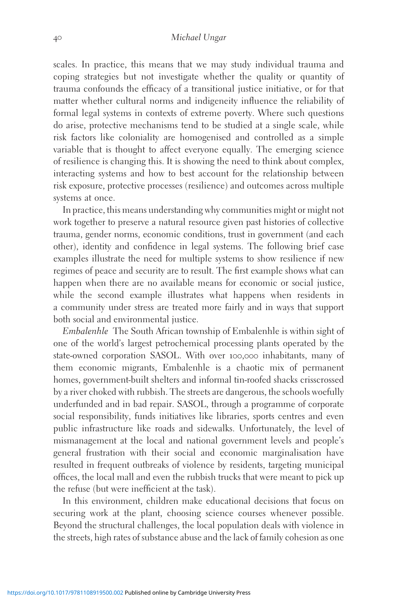scales. In practice, this means that we may study individual trauma and coping strategies but not investigate whether the quality or quantity of trauma confounds the efficacy of a transitional justice initiative, or for that matter whether cultural norms and indigeneity influence the reliability of formal legal systems in contexts of extreme poverty. Where such questions do arise, protective mechanisms tend to be studied at a single scale, while risk factors like coloniality are homogenised and controlled as a simple variable that is thought to affect everyone equally. The emerging science of resilience is changing this. It is showing the need to think about complex, interacting systems and how to best account for the relationship between risk exposure, protective processes (resilience) and outcomes across multiple systems at once.

In practice, this means understanding why communities might or might not work together to preserve a natural resource given past histories of collective trauma, gender norms, economic conditions, trust in government (and each other), identity and confidence in legal systems. The following brief case examples illustrate the need for multiple systems to show resilience if new regimes of peace and security are to result. The first example shows what can happen when there are no available means for economic or social justice, while the second example illustrates what happens when residents in a community under stress are treated more fairly and in ways that support both social and environmental justice.

Embalenhle The South African township of Embalenhle is within sight of one of the world's largest petrochemical processing plants operated by the state-owned corporation SASOL. With over 100,000 inhabitants, many of them economic migrants, Embalenhle is a chaotic mix of permanent homes, government-built shelters and informal tin-roofed shacks crisscrossed by a river choked with rubbish. The streets are dangerous, the schools woefully underfunded and in bad repair. SASOL, through a programme of corporate social responsibility, funds initiatives like libraries, sports centres and even public infrastructure like roads and sidewalks. Unfortunately, the level of mismanagement at the local and national government levels and people's general frustration with their social and economic marginalisation have resulted in frequent outbreaks of violence by residents, targeting municipal offices, the local mall and even the rubbish trucks that were meant to pick up the refuse (but were inefficient at the task).

In this environment, children make educational decisions that focus on securing work at the plant, choosing science courses whenever possible. Beyond the structural challenges, the local population deals with violence in the streets, high rates of substance abuse and the lack of family cohesion as one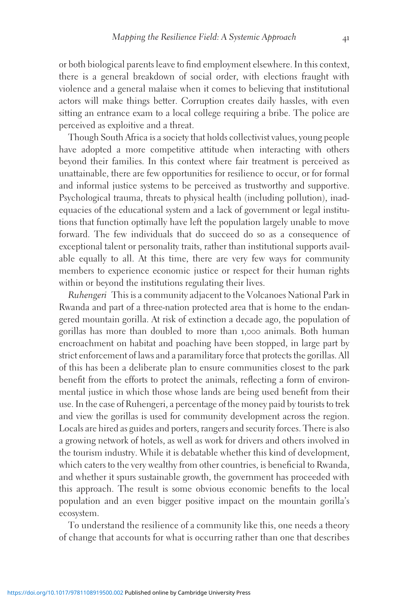or both biological parents leave to find employment elsewhere. In this context, there is a general breakdown of social order, with elections fraught with violence and a general malaise when it comes to believing that institutional actors will make things better. Corruption creates daily hassles, with even sitting an entrance exam to a local college requiring a bribe. The police are perceived as exploitive and a threat.

Though South Africa is a society that holds collectivist values, young people have adopted a more competitive attitude when interacting with others beyond their families. In this context where fair treatment is perceived as unattainable, there are few opportunities for resilience to occur, or for formal and informal justice systems to be perceived as trustworthy and supportive. Psychological trauma, threats to physical health (including pollution), inadequacies of the educational system and a lack of government or legal institutions that function optimally have left the population largely unable to move forward. The few individuals that do succeed do so as a consequence of exceptional talent or personality traits, rather than institutional supports available equally to all. At this time, there are very few ways for community members to experience economic justice or respect for their human rights within or beyond the institutions regulating their lives.

Ruhengeri This is a community adjacent to the Volcanoes National Park in Rwanda and part of a three-nation protected area that is home to the endangered mountain gorilla. At risk of extinction a decade ago, the population of gorillas has more than doubled to more than 1,000 animals. Both human encroachment on habitat and poaching have been stopped, in large part by strict enforcement of laws and a paramilitary force that protects the gorillas. All of this has been a deliberate plan to ensure communities closest to the park benefit from the efforts to protect the animals, reflecting a form of environmental justice in which those whose lands are being used benefit from their use. In the case of Ruhengeri, a percentage of the money paid by tourists to trek and view the gorillas is used for community development across the region. Locals are hired as guides and porters, rangers and security forces. There is also a growing network of hotels, as well as work for drivers and others involved in the tourism industry. While it is debatable whether this kind of development, which caters to the very wealthy from other countries, is beneficial to Rwanda, and whether it spurs sustainable growth, the government has proceeded with this approach. The result is some obvious economic benefits to the local population and an even bigger positive impact on the mountain gorilla's ecosystem.

To understand the resilience of a community like this, one needs a theory of change that accounts for what is occurring rather than one that describes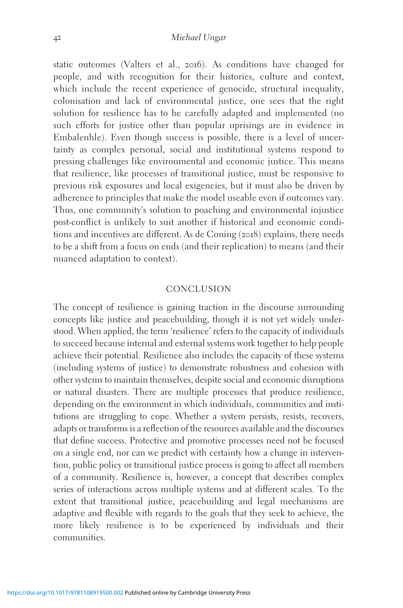static outcomes (Valters et al., 2016). As conditions have changed for people, and with recognition for their histories, culture and context, which include the recent experience of genocide, structural inequality, colonisation and lack of environmental justice, one sees that the right solution for resilience has to be carefully adapted and implemented (no such efforts for justice other than popular uprisings are in evidence in Embalenhle). Even though success is possible, there is a level of uncertainty as complex personal, social and institutional systems respond to pressing challenges like environmental and economic justice. This means that resilience, like processes of transitional justice, must be responsive to previous risk exposures and local exigencies, but it must also be driven by adherence to principles that make the model useable even if outcomes vary. Thus, one community's solution to poaching and environmental injustice post-conflict is unlikely to suit another if historical and economic conditions and incentives are different. As de Coning (2018) explains, there needs to be a shift from a focus on ends (and their replication) to means (and their nuanced adaptation to context).

### **CONCLUSION**

The concept of resilience is gaining traction in the discourse surrounding concepts like justice and peacebuilding, though it is not yet widely understood. When applied, the term 'resilience' refers to the capacity of individuals to succeed because internal and external systems work together to help people achieve their potential. Resilience also includes the capacity of these systems (including systems of justice) to demonstrate robustness and cohesion with other systems to maintain themselves, despite social and economic disruptions or natural disasters. There are multiple processes that produce resilience, depending on the environment in which individuals, communities and institutions are struggling to cope. Whether a system persists, resists, recovers, adapts or transforms is a reflection of the resources available and the discourses that define success. Protective and promotive processes need not be focused on a single end, nor can we predict with certainty how a change in intervention, public policy or transitional justice process is going to affect all members of a community. Resilience is, however, a concept that describes complex series of interactions across multiple systems and at different scales. To the extent that transitional justice, peacebuilding and legal mechanisms are adaptive and flexible with regards to the goals that they seek to achieve, the more likely resilience is to be experienced by individuals and their communities.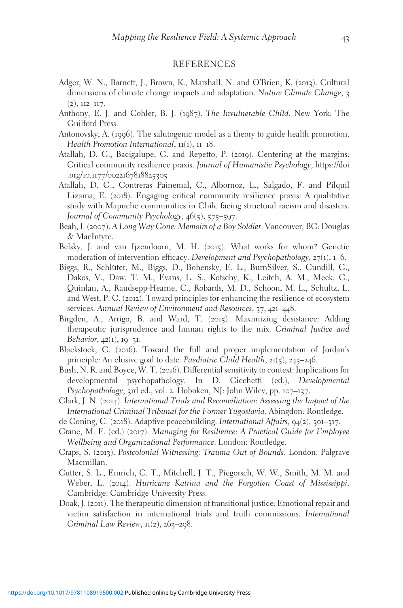#### REFERENCES

- Adger, W. N., Barnett, J., Brown, K., Marshall, N. and O'Brien, K. (2013). Cultural dimensions of climate change impacts and adaptation. Nature Climate Change, 3  $(2), 112-117.$
- Anthony, E. J. and Cohler, B. J. (1987). The Invulnerable Child. New York: The Guilford Press.
- Antonovsky, A. (1996). The salutogenic model as a theory to guide health promotion. Health Promotion International, 11(1), 11–18.
- Atallah, D. G., Bacigalupe, G. and Repetto, P. (2019). Centering at the margins: Critical community resilience praxis. Journal of Humanistic Psychology, [https://doi](https://doi.org/10.1177/0022167818825305) .org/10.1177/[0022167818825305](https://doi.org/10.1177/0022167818825305)
- Atallah, D. G., Contreras Painemal, C., Albornoz, L., Salgado, F. and Pilquil Lizama, E. (2018). Engaging critical community resilience praxis: A qualitative study with Mapuche communities in Chile facing structural racism and disasters. Journal of Community Psychology, 46(5), 575–597.
- Beah, I. (2007). A Long Way Gone: Memoirs of a Boy Soldier. Vancouver, BC: Douglas & MacIntyre.
- Belsky, J. and van Ijzendoorn, M. H. (2015). What works for whom? Genetic moderation of intervention efficacy. Development and Psychopathology,  $27(1)$ ,  $1-6$ .
- Biggs, R., Schlüter, M., Biggs, D., Bohensky, E. L., BurnSilver, S., Cundill, G., Dakos, V., Daw, T. M., Evans, L. S., Kotschy, K., Leitch, A. M., Meek, C., Quinlan, A., Raudsepp-Hearne, C., Robards, M. D., Schoon, M. L., Schultz, L. and West, P. C. (2012). Toward principles for enhancing the resilience of ecosystem services. Annual Review of Environment and Resources, 37, 421–448.
- Birgden, A., Arrigo, B. and Ward, T. (2015). Maximizing desistance: Adding therapeutic jurisprudence and human rights to the mix. Criminal Justice and Behavior,  $42(1)$ ,  $19-31$ .
- Blackstock, C. (2016). Toward the full and proper implementation of Jordan's principle: An elusive goal to date. Paediatric Child Health, 21(5), 245–246.
- Bush, N. R. and Boyce, W. T. (2016). Differential sensitivity to context: Implications for developmental psychopathology. In D. Cicchetti (ed.), Developmental Psychopathology, 3rd ed., vol. 2. Hoboken, NJ: John Wiley, pp. 107–137.
- Clark, J. N. (2014). International Trials and Reconciliation: Assessing the Impact of the International Criminal Tribunal for the Former Yugoslavia. Abingdon: Routledge.
- de Coning, C. (2018). Adaptive peacebuilding. International Affairs, 94(2), 301–317.
- Crane, M. F. (ed.) (2017). Managing for Resilience: A Practical Guide for Employee Wellbeing and Organizational Performance. London: Routledge.
- Craps, S. (2013). Postcolonial Witnessing: Trauma Out of Bounds. London: Palgrave Macmillan.
- Cutter, S. L., Emrich, C. T., Mitchell, J. T., Piegorsch, W. W., Smith, M. M. and Weber, L. (2014). Hurricane Katrina and the Forgotten Coast of Mississippi. Cambridge: Cambridge University Press.
- Doak, J. (2011). The therapeutic dimension of transitional justice: Emotional repair and victim satisfaction in international trials and truth commissions. International Criminal Law Review,  $11(2)$ ,  $26z-298$ .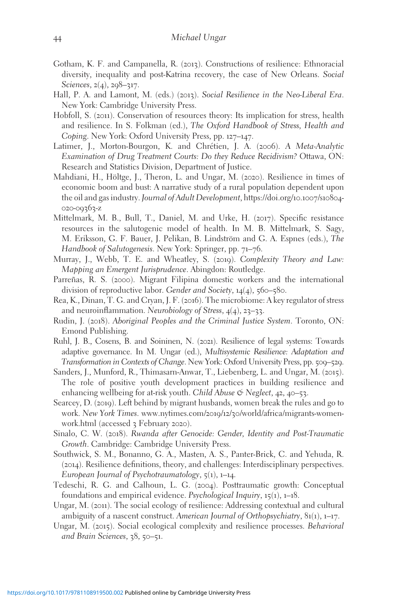- Gotham, K. F. and Campanella, R. (2013). Constructions of resilience: Ethnoracial diversity, inequality and post-Katrina recovery, the case of New Orleans. Social Sciences, 2(4), 298-317.
- Hall, P. A. and Lamont, M. (eds.) (2013). Social Resilience in the Neo-Liberal Era. New York: Cambridge University Press.
- Hobfoll, S. (2011). Conservation of resources theory: Its implication for stress, health and resilience. In S. Folkman (ed.), The Oxford Handbook of Stress, Health and Coping. New York: Oxford University Press, pp. 127–147.
- Latimer, J., Morton-Bourgon, K. and Chrétien, J. A. (2006). A Meta-Analytic Examination of Drug Treatment Courts: Do they Reduce Recidivism? Ottawa, ON: Research and Statistics Division, Department of Justice.
- Mahdiani, H., Höltge, J., Theron, L. and Ungar, M. (2020). Resilience in times of economic boom and bust: A narrative study of a rural population dependent upon the oil and gas industry. Journal of Adult Development, [https://doi.org/](https://doi.org/10.1007/s10804-020-09363-z)10.1007/s10804- 020-[09363](https://doi.org/10.1007/s10804-020-09363-z)-z
- Mittelmark, M. B., Bull, T., Daniel, M. and Urke, H. (2017). Specific resistance resources in the salutogenic model of health. In M. B. Mittelmark, S. Sagy, M. Eriksson, G. F. Bauer, J. Pelikan, B. Lindström and G. A. Espnes (eds.), The Handbook of Salutogenesis. New York: Springer, pp. 71–76.
- Murray, J., Webb, T. E. and Wheatley, S. (2019). Complexity Theory and Law: Mapping an Emergent Jurisprudence. Abingdon: Routledge.
- Parreñas, R. S. (2000). Migrant Filipina domestic workers and the international division of reproductive labor. Gender and Society, 14(4), 560–580.
- Rea, K., Dinan, T. G. and Cryan, J. F. (2016). The microbiome: A key regulator of stress and neuroinflammation. Neurobiology of Stress, 4(4), 23–33.
- Rudin, J. (2018). Aboriginal Peoples and the Criminal Justice System. Toronto, ON: Emond Publishing.
- Ruhl, J. B., Cosens, B. and Soininen, N. (2021). Resilience of legal systems: Towards adaptive governance. In M. Ungar (ed.), Multisystemic Resilience: Adaptation and Transformation in Contexts of Change. New York: Oxford University Press, pp. 509–529.
- Sanders, J., Munford, R., Thimasarn-Anwar, T., Liebenberg, L. and Ungar, M. (2015). The role of positive youth development practices in building resilience and enhancing wellbeing for at-risk youth. Child Abuse  $\circ$  Neglect, 42, 40–53.
- Searcey, D. (2019). Left behind by migrant husbands, women break the rules and go to work. New York Times. www.nytimes.com/2019/12/30[/world/africa/migrants-women](http://www.nytimes.com/2019/12/30/world/africa/migrants-women-work.html)[work.html](http://www.nytimes.com/2019/12/30/world/africa/migrants-women-work.html) (accessed 3 February 2020).
- Sinalo, C. W. (2018). Rwanda after Genocide: Gender, Identity and Post-Traumatic Growth. Cambridge: Cambridge University Press.
- Southwick, S. M., Bonanno, G. A., Masten, A. S., Panter-Brick, C. and Yehuda, R. (2014). Resilience definitions, theory, and challenges: Interdisciplinary perspectives. European Journal of Psychotraumatology,  $\zeta(1)$ , 1–14.
- Tedeschi, R. G. and Calhoun, L. G. (2004). Posttraumatic growth: Conceptual foundations and empirical evidence. Psychological Inquiry, 15(1), 1–18.
- Ungar, M. (2011). The social ecology of resilience: Addressing contextual and cultural ambiguity of a nascent construct. American Journal of Orthopsychiatry,  $81(1)$ ,  $1-17$ .
- Ungar, M. (2015). Social ecological complexity and resilience processes. Behavioral and Brain Sciences, 38, 50–51.